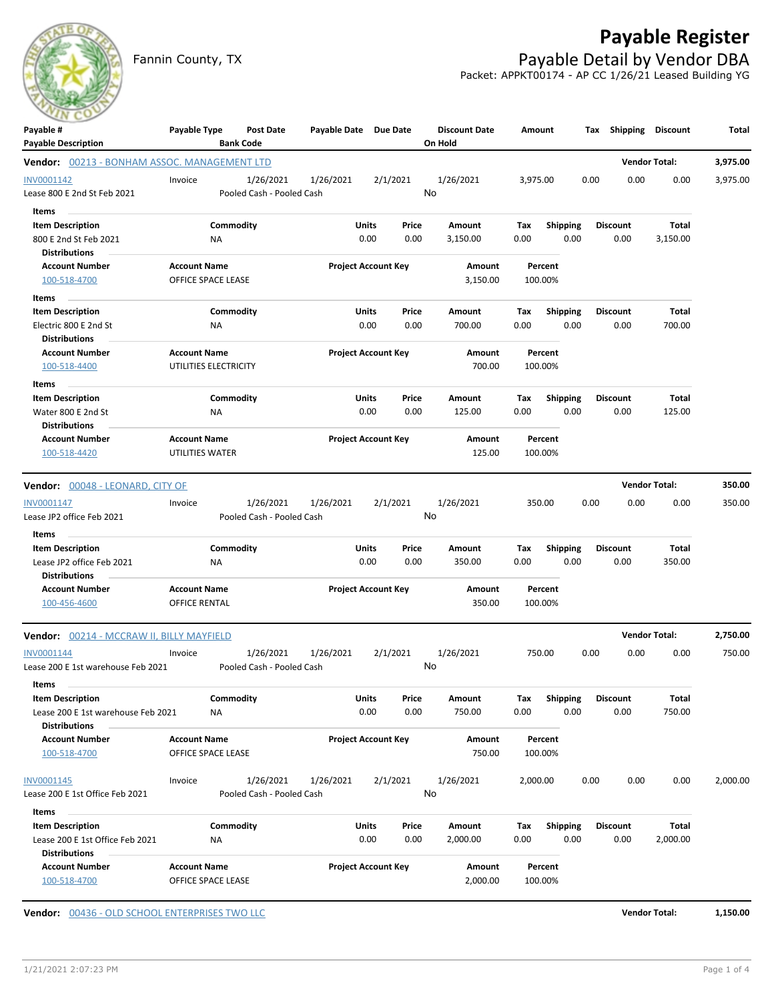Fannin County, TX **Fannin County, TX Payable Detail by Vendor DBA** 

## **Payable Register**

Packet: APPKT00174 - AP CC 1/26/21 Leased Building YG

| Payable #<br><b>Payable Description</b>                    | Payable Type                                | Post Date<br><b>Bank Code</b> | Payable Date Due Date |                            | <b>Discount Date</b><br>On Hold | Amount             |                 | Tax Shipping    |                      | Discount | Total    |
|------------------------------------------------------------|---------------------------------------------|-------------------------------|-----------------------|----------------------------|---------------------------------|--------------------|-----------------|-----------------|----------------------|----------|----------|
| Vendor: 00213 - BONHAM ASSOC. MANAGEMENT LTD               |                                             |                               |                       |                            |                                 |                    |                 |                 | <b>Vendor Total:</b> |          | 3,975.00 |
| INV0001142                                                 | Invoice                                     | 1/26/2021                     | 1/26/2021             | 2/1/2021                   | 1/26/2021                       | 3,975.00           |                 | 0.00            | 0.00                 | 0.00     | 3,975.00 |
| Lease 800 E 2nd St Feb 2021                                |                                             | Pooled Cash - Pooled Cash     |                       |                            | No                              |                    |                 |                 |                      |          |          |
| <b>Items</b>                                               |                                             |                               |                       |                            |                                 |                    |                 |                 |                      |          |          |
| <b>Item Description</b>                                    |                                             | Commodity                     |                       | Units<br>Price             | Amount                          | Tax                | <b>Shipping</b> | <b>Discount</b> |                      | Total    |          |
| 800 E 2nd St Feb 2021                                      | ΝA                                          |                               |                       | 0.00<br>0.00               | 3,150.00                        | 0.00               | 0.00            |                 | 0.00                 | 3,150.00 |          |
| <b>Distributions</b>                                       |                                             |                               |                       |                            |                                 |                    |                 |                 |                      |          |          |
| <b>Account Number</b>                                      | <b>Account Name</b>                         |                               |                       | <b>Project Account Key</b> | Amount                          | Percent            |                 |                 |                      |          |          |
| 100-518-4700                                               | OFFICE SPACE LEASE                          |                               |                       |                            | 3,150.00                        | 100.00%            |                 |                 |                      |          |          |
| Items                                                      |                                             |                               |                       |                            |                                 |                    |                 |                 |                      |          |          |
| <b>Item Description</b>                                    |                                             | Commodity                     |                       | Units<br>Price             | Amount                          | Tax                | <b>Shipping</b> | <b>Discount</b> |                      | Total    |          |
| Electric 800 E 2nd St                                      | ΝA                                          |                               |                       | 0.00<br>0.00               | 700.00                          | 0.00               | 0.00            |                 | 0.00                 | 700.00   |          |
| <b>Distributions</b>                                       |                                             |                               |                       |                            |                                 |                    |                 |                 |                      |          |          |
| <b>Account Number</b>                                      | <b>Account Name</b>                         |                               |                       | <b>Project Account Key</b> | Amount                          | Percent            |                 |                 |                      |          |          |
| 100-518-4400                                               | UTILITIES ELECTRICITY                       |                               |                       |                            | 700.00                          | 100.00%            |                 |                 |                      |          |          |
| Items                                                      |                                             |                               |                       |                            |                                 |                    |                 |                 |                      |          |          |
| <b>Item Description</b>                                    |                                             | Commodity                     |                       | Units<br>Price             | Amount                          | Tax                | <b>Shipping</b> | <b>Discount</b> |                      | Total    |          |
| Water 800 E 2nd St<br><b>Distributions</b>                 | ΝA                                          |                               |                       | 0.00<br>0.00               | 125.00                          | 0.00               | 0.00            |                 | 0.00                 | 125.00   |          |
| <b>Account Number</b>                                      | <b>Account Name</b>                         |                               |                       | <b>Project Account Key</b> | Amount                          | Percent            |                 |                 |                      |          |          |
| 100-518-4420                                               | UTILITIES WATER                             |                               |                       |                            | 125.00                          | 100.00%            |                 |                 |                      |          |          |
| Vendor: 00048 - LEONARD, CITY OF                           |                                             |                               |                       |                            |                                 |                    |                 |                 | <b>Vendor Total:</b> |          | 350.00   |
| INV0001147                                                 | Invoice                                     | 1/26/2021                     | 1/26/2021             | 2/1/2021                   | 1/26/2021                       | 350.00             |                 | 0.00            | 0.00                 | 0.00     | 350.00   |
| Lease JP2 office Feb 2021                                  |                                             | Pooled Cash - Pooled Cash     |                       |                            | No                              |                    |                 |                 |                      |          |          |
| Items                                                      |                                             |                               |                       |                            |                                 |                    |                 |                 |                      |          |          |
| <b>Item Description</b>                                    |                                             | Commodity                     |                       | Units<br>Price             | Amount                          | Tax                | <b>Shipping</b> | <b>Discount</b> |                      | Total    |          |
| Lease JP2 office Feb 2021                                  | ΝA                                          |                               |                       | 0.00<br>0.00               | 350.00                          | 0.00               | 0.00            |                 | 0.00                 | 350.00   |          |
| <b>Distributions</b>                                       |                                             |                               |                       |                            |                                 |                    |                 |                 |                      |          |          |
| <b>Account Number</b><br>100-456-4600                      | <b>Account Name</b><br><b>OFFICE RENTAL</b> |                               |                       | <b>Project Account Key</b> | Amount<br>350.00                | Percent<br>100.00% |                 |                 |                      |          |          |
|                                                            |                                             |                               |                       |                            |                                 |                    |                 |                 |                      |          |          |
| <b>Vendor:</b> 00214 - MCCRAW II. BILLY MAYFIELD           |                                             |                               |                       |                            |                                 |                    |                 |                 | <b>Vendor Total:</b> |          | 2,750.00 |
| INV0001144                                                 | Invoice                                     |                               | 1/26/2021 1/26/2021   | 2/1/2021                   | 1/26/2021                       | 750.00             |                 | 0.00            | 0.00                 | 0.00     | 750.00   |
| Lease 200 E 1st warehouse Feb 2021                         |                                             | Pooled Cash - Pooled Cash     |                       |                            | No                              |                    |                 |                 |                      |          |          |
| Items                                                      |                                             |                               |                       |                            |                                 |                    |                 |                 |                      |          |          |
| <b>Item Description</b>                                    |                                             | Commodity                     |                       | <b>Units</b><br>Price      | Amount                          | Tax                | <b>Shipping</b> | <b>Discount</b> |                      | Total    |          |
| Lease 200 E 1st warehouse Feb 2021<br><b>Distributions</b> | NA                                          |                               |                       | 0.00<br>0.00               | 750.00                          | 0.00               | 0.00            |                 | 0.00                 | 750.00   |          |
| <b>Account Number</b>                                      | <b>Account Name</b>                         |                               |                       | <b>Project Account Key</b> | Amount                          | Percent            |                 |                 |                      |          |          |
| 100-518-4700                                               | OFFICE SPACE LEASE                          |                               |                       |                            | 750.00                          | 100.00%            |                 |                 |                      |          |          |
| INV0001145                                                 | Invoice                                     | 1/26/2021                     | 1/26/2021             | 2/1/2021                   | 1/26/2021                       | 2,000.00           |                 | 0.00            | 0.00                 | 0.00     | 2,000.00 |
| Lease 200 E 1st Office Feb 2021                            |                                             | Pooled Cash - Pooled Cash     |                       |                            | No                              |                    |                 |                 |                      |          |          |
| Items                                                      |                                             |                               |                       |                            |                                 |                    |                 |                 |                      |          |          |
| <b>Item Description</b>                                    |                                             | Commodity                     |                       | Units<br>Price             | Amount                          | Tax                | Shipping        | <b>Discount</b> |                      | Total    |          |
| Lease 200 E 1st Office Feb 2021                            | NA                                          |                               |                       | 0.00<br>0.00               | 2,000.00                        | 0.00               | 0.00            |                 | 0.00                 | 2,000.00 |          |
| <b>Distributions</b>                                       |                                             |                               |                       |                            |                                 |                    |                 |                 |                      |          |          |
| <b>Account Number</b>                                      | <b>Account Name</b>                         |                               |                       | <b>Project Account Key</b> | Amount                          | Percent            |                 |                 |                      |          |          |
| 100-518-4700                                               | OFFICE SPACE LEASE                          |                               |                       |                            | 2,000.00                        | 100.00%            |                 |                 |                      |          |          |

**Vendor:** 00436 - OLD SCHOOL ENTERPRISES TWO LLC **Vendor Total: 1,150.00**

1/21/2021 2:07:23 PM Page 1 of 4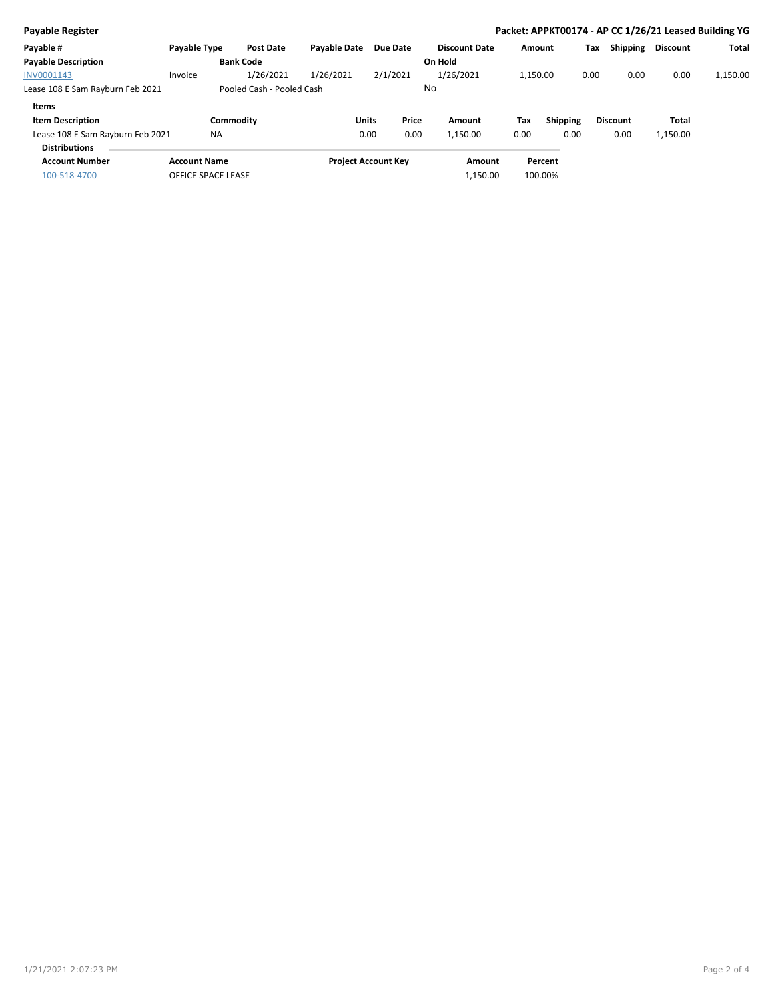| <b>Payable Register</b>                                  |                     |                  |                           |                     |                            |                 |                      |          |                 |      |                 | Packet: APPKT00174 - AP CC 1/26/21 Leased Building YG |              |
|----------------------------------------------------------|---------------------|------------------|---------------------------|---------------------|----------------------------|-----------------|----------------------|----------|-----------------|------|-----------------|-------------------------------------------------------|--------------|
| Payable #                                                | Payable Type        |                  | Post Date                 | <b>Pavable Date</b> |                            | <b>Due Date</b> | <b>Discount Date</b> | Amount   |                 | Tax  | Shipping        | <b>Discount</b>                                       | <b>Total</b> |
| <b>Payable Description</b>                               |                     | <b>Bank Code</b> |                           |                     |                            |                 | On Hold              |          |                 |      |                 |                                                       |              |
| INV0001143                                               | Invoice             |                  | 1/26/2021                 | 1/26/2021           |                            | 2/1/2021        | 1/26/2021            | 1.150.00 |                 | 0.00 | 0.00            | 0.00                                                  | 1,150.00     |
| Lease 108 E Sam Rayburn Feb 2021                         |                     |                  | Pooled Cash - Pooled Cash |                     |                            |                 | No                   |          |                 |      |                 |                                                       |              |
| Items                                                    |                     |                  |                           |                     |                            |                 |                      |          |                 |      |                 |                                                       |              |
| <b>Item Description</b>                                  |                     | Commodity        |                           |                     | <b>Units</b>               | Price           | Amount               | Tax      | <b>Shipping</b> |      | <b>Discount</b> | Total                                                 |              |
| Lease 108 E Sam Rayburn Feb 2021<br><b>Distributions</b> |                     | <b>NA</b>        |                           |                     | 0.00                       | 0.00            | 1,150.00             | 0.00     | 0.00            |      | 0.00            | 1,150.00                                              |              |
| <b>Account Number</b>                                    | <b>Account Name</b> |                  |                           |                     | <b>Project Account Key</b> |                 | Amount               |          | Percent         |      |                 |                                                       |              |
| 100-518-4700                                             | OFFICE SPACE LEASE  |                  |                           |                     |                            |                 | 1,150.00             |          | 100.00%         |      |                 |                                                       |              |
|                                                          |                     |                  |                           |                     |                            |                 |                      |          |                 |      |                 |                                                       |              |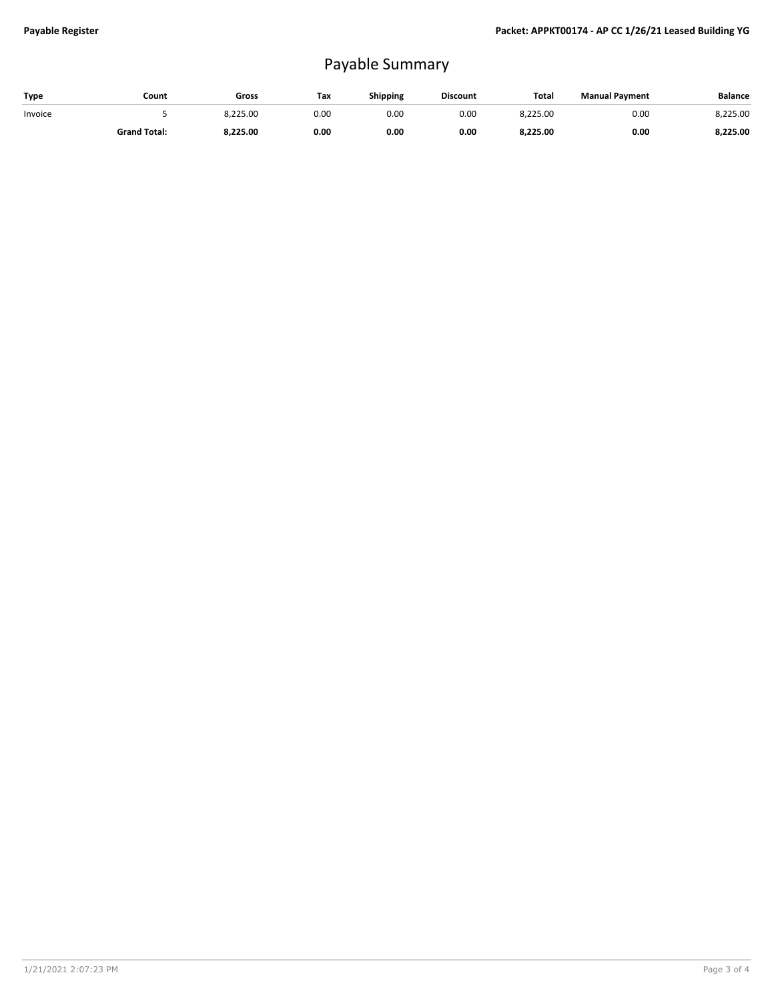## Payable Summary

| Type    | Count               | Gross    | Tax  | Shipping | <b>Discount</b> | <b>Total</b> | <b>Manual Payment</b> | <b>Balance</b> |
|---------|---------------------|----------|------|----------|-----------------|--------------|-----------------------|----------------|
| Invoice |                     | 8.225.00 | 0.00 | 0.00     | 0.00            | 8,225.00     | 0.00                  | 8,225.00       |
|         | <b>Grand Total:</b> | 8.225.00 | 0.00 | 0.00     | 0.00            | 8.225.00     | 0.00                  | 8,225.00       |